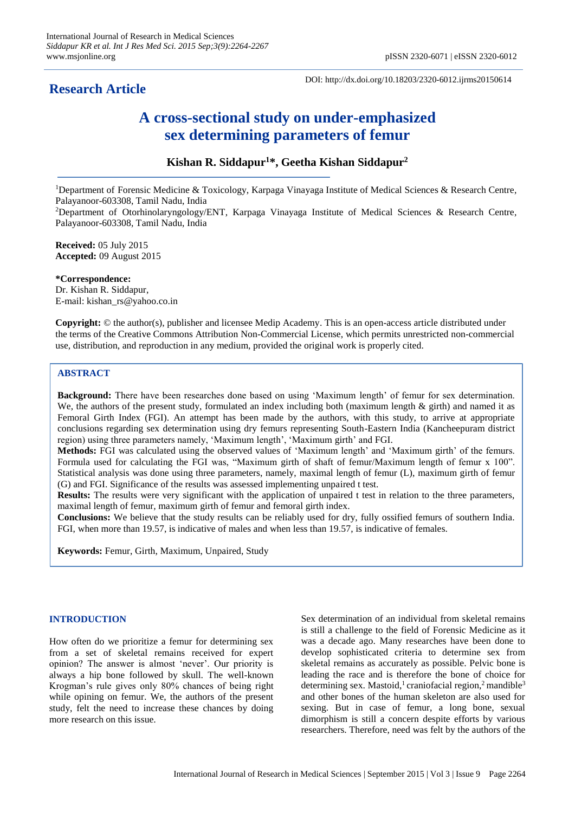## **Research Article**

DOI: http://dx.doi.org/10.18203/2320-6012.ijrms20150614

# **A cross-sectional study on under-emphasized sex determining parameters of femur**

## **Kishan R. Siddapur<sup>1</sup>\*, Geetha Kishan Siddapur<sup>2</sup>**

<sup>1</sup>Department of Forensic Medicine & Toxicology, Karpaga Vinayaga Institute of Medical Sciences & Research Centre, Palayanoor-603308, Tamil Nadu, India

<sup>2</sup>Department of Otorhinolaryngology/ENT, Karpaga Vinayaga Institute of Medical Sciences & Research Centre, Palayanoor-603308, Tamil Nadu, India

**Received:** 05 July 2015 **Accepted:** 09 August 2015

**\*Correspondence:** Dr. Kishan R. Siddapur, E-mail: kishan\_rs@yahoo.co.in

**Copyright:** © the author(s), publisher and licensee Medip Academy. This is an open-access article distributed under the terms of the Creative Commons Attribution Non-Commercial License, which permits unrestricted non-commercial use, distribution, and reproduction in any medium, provided the original work is properly cited.

### **ABSTRACT**

**Background:** There have been researches done based on using 'Maximum length' of femur for sex determination. We, the authors of the present study, formulated an index including both (maximum length  $\&$  girth) and named it as Femoral Girth Index (FGI). An attempt has been made by the authors, with this study, to arrive at appropriate conclusions regarding sex determination using dry femurs representing South-Eastern India (Kancheepuram district region) using three parameters namely, 'Maximum length', 'Maximum girth' and FGI.

**Methods:** FGI was calculated using the observed values of 'Maximum length' and 'Maximum girth' of the femurs. Formula used for calculating the FGI was, "Maximum girth of shaft of femur/Maximum length of femur x 100". Statistical analysis was done using three parameters, namely, maximal length of femur (L), maximum girth of femur (G) and FGI. Significance of the results was assessed implementing unpaired t test.

**Results:** The results were very significant with the application of unpaired t test in relation to the three parameters, maximal length of femur, maximum girth of femur and femoral girth index.

**Conclusions:** We believe that the study results can be reliably used for dry, fully ossified femurs of southern India. FGI, when more than 19.57, is indicative of males and when less than 19.57, is indicative of females.

**Keywords:** Femur, Girth, Maximum, Unpaired, Study

#### **INTRODUCTION**

How often do we prioritize a femur for determining sex from a set of skeletal remains received for expert opinion? The answer is almost 'never'. Our priority is always a hip bone followed by skull. The well-known Krogman's rule gives only 80% chances of being right while opining on femur. We, the authors of the present study, felt the need to increase these chances by doing more research on this issue.

Sex determination of an individual from skeletal remains is still a challenge to the field of Forensic Medicine as it was a decade ago. Many researches have been done to develop sophisticated criteria to determine sex from skeletal remains as accurately as possible. Pelvic bone is leading the race and is therefore the bone of choice for determining sex. Mastoid,<sup>1</sup> craniofacial region,<sup>2</sup> mandible<sup>3</sup> and other bones of the human skeleton are also used for sexing. But in case of femur, a long bone, sexual dimorphism is still a concern despite efforts by various researchers. Therefore, need was felt by the authors of the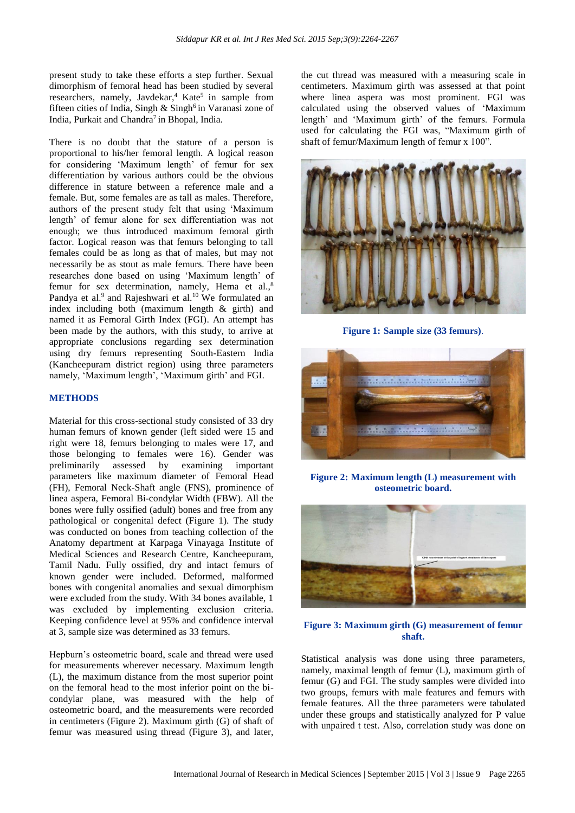present study to take these efforts a step further. Sexual dimorphism of femoral head has been studied by several researchers, namely, Javdekar,<sup>4</sup> Kate<sup>5</sup> in sample from fifteen cities of India, Singh  $&$  Singh<sup>6</sup> in Varanasi zone of India, Purkait and Chandra<sup>7</sup> in Bhopal, India.

There is no doubt that the stature of a person is proportional to his/her femoral length. A logical reason for considering 'Maximum length' of femur for sex differentiation by various authors could be the obvious difference in stature between a reference male and a female. But, some females are as tall as males. Therefore, authors of the present study felt that using 'Maximum length' of femur alone for sex differentiation was not enough; we thus introduced maximum femoral girth factor. Logical reason was that femurs belonging to tall females could be as long as that of males, but may not necessarily be as stout as male femurs. There have been researches done based on using 'Maximum length' of femur for sex determination, namely, Hema et al.,<sup>8</sup> Pandya et al.<sup>9</sup> and Rajeshwari et al.<sup>10</sup> We formulated an index including both (maximum length & girth) and named it as Femoral Girth Index (FGI). An attempt has been made by the authors, with this study, to arrive at appropriate conclusions regarding sex determination using dry femurs representing South-Eastern India (Kancheepuram district region) using three parameters namely, 'Maximum length', 'Maximum girth' and FGI.

#### **METHODS**

Material for this cross-sectional study consisted of 33 dry human femurs of known gender (left sided were 15 and right were 18, femurs belonging to males were 17, and those belonging to females were 16). Gender was preliminarily assessed by examining important parameters like maximum diameter of Femoral Head (FH), Femoral Neck-Shaft angle (FNS), prominence of linea aspera, Femoral Bi-condylar Width (FBW). All the bones were fully ossified (adult) bones and free from any pathological or congenital defect (Figure 1). The study was conducted on bones from teaching collection of the Anatomy department at Karpaga Vinayaga Institute of Medical Sciences and Research Centre, Kancheepuram, Tamil Nadu. Fully ossified, dry and intact femurs of known gender were included. Deformed, malformed bones with congenital anomalies and sexual dimorphism were excluded from the study. With 34 bones available, 1 was excluded by implementing exclusion criteria. Keeping confidence level at 95% and confidence interval at 3, sample size was determined as 33 femurs.

Hepburn's osteometric board, scale and thread were used for measurements wherever necessary. Maximum length (L), the maximum distance from the most superior point on the femoral head to the most inferior point on the bicondylar plane, was measured with the help of osteometric board, and the measurements were recorded in centimeters (Figure 2). Maximum girth (G) of shaft of femur was measured using thread (Figure 3), and later, the cut thread was measured with a measuring scale in centimeters. Maximum girth was assessed at that point where linea aspera was most prominent. FGI was calculated using the observed values of 'Maximum length' and 'Maximum girth' of the femurs. Formula used for calculating the FGI was, "Maximum girth of shaft of femur/Maximum length of femur x 100".



**Figure 1: Sample size (33 femurs)**.



**Figure 2: Maximum length (L) measurement with osteometric board.**



#### **Figure 3: Maximum girth (G) measurement of femur shaft.**

Statistical analysis was done using three parameters, namely, maximal length of femur (L), maximum girth of femur (G) and FGI. The study samples were divided into two groups, femurs with male features and femurs with female features. All the three parameters were tabulated under these groups and statistically analyzed for P value with unpaired t test. Also, correlation study was done on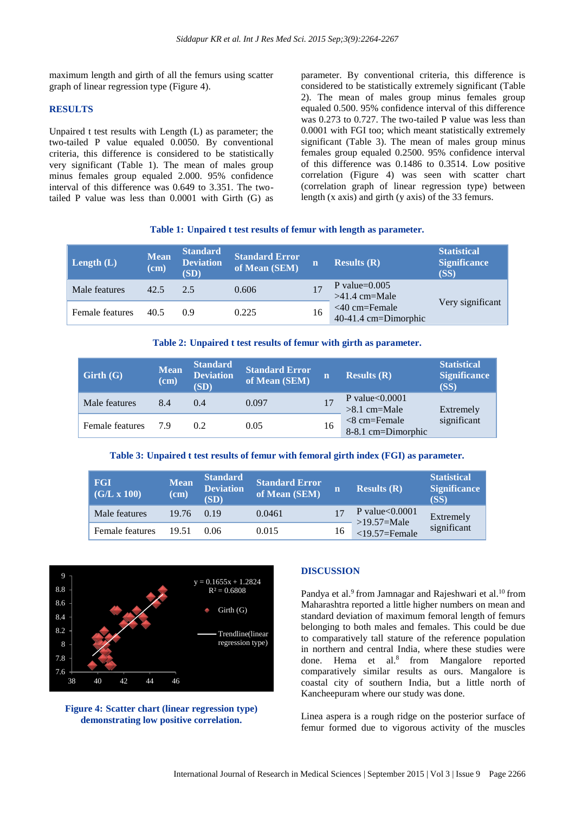maximum length and girth of all the femurs using scatter graph of linear regression type (Figure 4).

#### **RESULTS**

Unpaired t test results with Length (L) as parameter; the two-tailed P value equaled 0.0050. By conventional criteria, this difference is considered to be statistically very significant (Table 1). The mean of males group minus females group equaled 2.000. 95% confidence interval of this difference was 0.649 to 3.351. The twotailed P value was less than 0.0001 with Girth (G) as

parameter. By conventional criteria, this difference is considered to be statistically extremely significant (Table 2). The mean of males group minus females group equaled 0.500. 95% confidence interval of this difference was 0.273 to 0.727. The two-tailed P value was less than 0.0001 with FGI too; which meant statistically extremely significant (Table 3). The mean of males group minus females group equaled 0.2500. 95% confidence interval of this difference was 0.1486 to 0.3514. Low positive correlation (Figure 4) was seen with scatter chart (correlation graph of linear regression type) between length (x axis) and girth (y axis) of the 33 femurs.

#### **Table 1: Unpaired t test results of femur with length as parameter.**

| Length $(L)$    | <b>Mean</b><br>$(cm)$ | <b>Standard</b><br><b>Deviation</b><br>(SD) | <b>Standard Error</b><br>of Mean (SEM) | m  | <b>Results</b> $(R)$                    | <b>Statistical</b><br><b>Significance</b><br>(SS) |
|-----------------|-----------------------|---------------------------------------------|----------------------------------------|----|-----------------------------------------|---------------------------------------------------|
| Male features   | 42.5                  | 2.5                                         | 0.606                                  |    | P value= $0.005$<br>$>41.4$ cm=Male     |                                                   |
| Female features | 40.5                  | 09                                          | 0.225                                  | 16 | $<40$ cm=Female<br>40-41.4 cm=Dimorphic | Very significant                                  |

#### **Table 2: Unpaired t test results of femur with girth as parameter.**

| Girth(G)        | <b>Mean</b><br>(cm) | <b>Standard</b><br><b>Deviation</b><br>(SD) | <b>Standard Error</b><br>of Mean (SEM) | n  | <b>Results</b> $(R)$                 | <b>Statistical</b><br><b>Significance</b><br>(SS) |
|-----------------|---------------------|---------------------------------------------|----------------------------------------|----|--------------------------------------|---------------------------------------------------|
| Male features   | 8.4                 | (0.4)                                       | 0.097                                  |    | P value $< 0.0001$<br>$>8.1$ cm=Male | Extremely                                         |
| Female features | 79                  | 0.2                                         | 0.05                                   | 16 | $<8$ cm=Female<br>8-8.1 cm=Dimorphic | significant                                       |

#### **Table 3: Unpaired t test results of femur with femoral girth index (FGI) as parameter.**

| <b>FGI</b><br>(G/L x 100) | <b>Mean</b><br>$(cm)$ | <b>Standard</b><br><b>Deviation</b><br>(SD) | <b>Standard Error</b><br>of Mean (SEM) |    | <b>Results</b> $(R)$                                     | <b>Statistical</b><br><b>Significance</b><br>(SS) |
|---------------------------|-----------------------|---------------------------------------------|----------------------------------------|----|----------------------------------------------------------|---------------------------------------------------|
| Male features             | 19.76                 | 0.19                                        | 0.0461                                 |    | P value $< 0.0001$<br>$>19.57$ =Male<br>$<$ 19.57=Female | Extremely<br>significant                          |
| Female features           | 19.51                 | 0.06                                        | 0.015                                  | 16 |                                                          |                                                   |





#### **DISCUSSION**

Pandya et al.<sup>9</sup> from Jamnagar and Rajeshwari et al.<sup>10</sup> from Maharashtra reported a little higher numbers on mean and standard deviation of maximum femoral length of femurs belonging to both males and females. This could be due to comparatively tall stature of the reference population in northern and central India, where these studies were done. Hema et al.<sup>8</sup> from Mangalore reported comparatively similar results as ours. Mangalore is coastal city of southern India, but a little north of Kancheepuram where our study was done.

Linea aspera is a rough ridge on the posterior surface of femur formed due to vigorous activity of the muscles